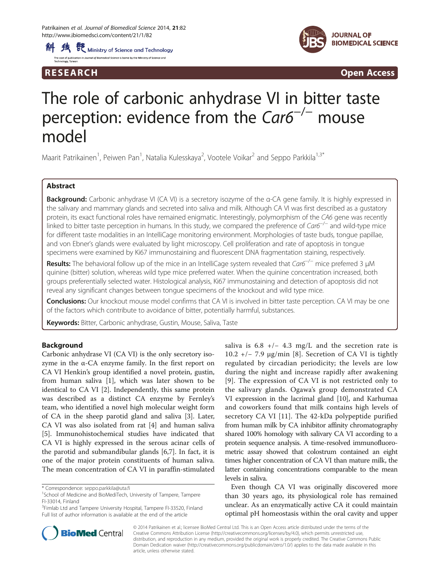



R E S EAR CH Open Access

# The role of carbonic anhydrase VI in bitter taste perception: evidence from the Car6<sup>-/-</sup> mouse model

Maarit Patrikainen<sup>1</sup>, Peiwen Pan<sup>1</sup>, Natalia Kulesskaya<sup>2</sup>, Vootele Voikar<sup>2</sup> and Seppo Parkkila<sup>1,3\*</sup>

# Abstract

Background: Carbonic anhydrase VI (CA VI) is a secretory isozyme of the α-CA gene family. It is highly expressed in the salivary and mammary glands and secreted into saliva and milk. Although CA VI was first described as a gustatory protein, its exact functional roles have remained enigmatic. Interestingly, polymorphism of the CA6 gene was recently linked to bitter taste perception in humans. In this study, we compared the preference of Car6−/<sup>−</sup> and wild-type mice for different taste modalities in an IntelliCage monitoring environment. Morphologies of taste buds, tongue papillae, and von Ebner's glands were evaluated by light microscopy. Cell proliferation and rate of apoptosis in tongue specimens were examined by Ki67 immunostaining and fluorescent DNA fragmentation staining, respectively.

Results: The behavioral follow up of the mice in an IntelliCage system revealed that Car6<sup>−/−</sup> mice preferred 3 uM quinine (bitter) solution, whereas wild type mice preferred water. When the quinine concentration increased, both groups preferentially selected water. Histological analysis, Ki67 immunostaining and detection of apoptosis did not reveal any significant changes between tongue specimens of the knockout and wild type mice.

Conclusions: Our knockout mouse model confirms that CA VI is involved in bitter taste perception. CA VI may be one of the factors which contribute to avoidance of bitter, potentially harmful, substances.

Keywords: Bitter, Carbonic anhydrase, Gustin, Mouse, Saliva, Taste

# Background

Carbonic anhydrase VI (CA VI) is the only secretory isozyme in the α-CA enzyme family. In the first report on CA VI Henkin's group identified a novel protein, gustin, from human saliva [\[1](#page-5-0)], which was later shown to be identical to CA VI [\[2](#page-5-0)]. Independently, this same protein was described as a distinct CA enzyme by Fernley's team, who identified a novel high molecular weight form of CA in the sheep parotid gland and saliva [\[3](#page-5-0)]. Later, CA VI was also isolated from rat [\[4](#page-5-0)] and human saliva [[5\]](#page-5-0). Immunohistochemical studies have indicated that CA VI is highly expressed in the serous acinar cells of the parotid and submandibular glands [[6](#page-5-0),[7\]](#page-6-0). In fact, it is one of the major protein constituents of human saliva. The mean concentration of CA VI in paraffin-stimulated

saliva is  $6.8 +/- 4.3$  mg/L and the secretion rate is 10.2 +/− 7.9 μg/min [[8\]](#page-6-0). Secretion of CA VI is tightly regulated by circadian periodicity; the levels are low during the night and increase rapidly after awakening [[9](#page-6-0)]. The expression of CA VI is not restricted only to the salivary glands. Ogawa's group demonstrated CA VI expression in the lacrimal gland [\[10\]](#page-6-0), and Karhumaa and coworkers found that milk contains high levels of secretory CA VI [[11\]](#page-6-0). The 42-kDa polypeptide purified from human milk by CA inhibitor affinity chromatography shared 100% homology with salivary CA VI according to a protein sequence analysis. A time-resolved immunofluorometric assay showed that colostrum contained an eight times higher concentration of CA VI than mature milk, the latter containing concentrations comparable to the mean levels in saliva.

Even though CA VI was originally discovered more than 30 years ago, its physiological role has remained unclear. As an enzymatically active CA it could maintain optimal pH homeostasis within the oral cavity and upper



© 2014 Patrikainen et al.; licensee BioMed Central Ltd. This is an Open Access article distributed under the terms of the Creative Commons Attribution License (http://creativecommons.org/licenses/by/4.0), which permits unrestricted use, distribution, and reproduction in any medium, provided the original work is properly credited. The Creative Commons Public Domain Dedication waiver (http://creativecommons.org/publicdomain/zero/1.0/) applies to the data made available in this article, unless otherwise stated.

<sup>\*</sup> Correspondence: [seppo.parkkila@uta.fi](mailto:seppo.parkkila@uta.fi) <sup>1</sup>

<sup>&</sup>lt;sup>1</sup>School of Medicine and BioMediTech, University of Tampere, Tampere FI-33014, Finland

<sup>&</sup>lt;sup>3</sup>Fimlab Ltd and Tampere University Hospital, Tampere FI-33520, Finland Full list of author information is available at the end of the article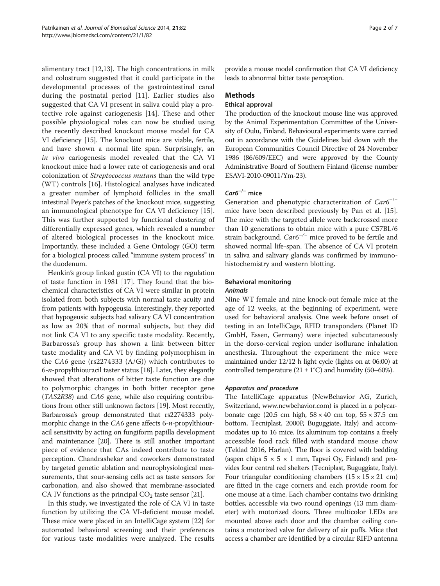alimentary tract [[12,13\]](#page-6-0). The high concentrations in milk and colostrum suggested that it could participate in the developmental processes of the gastrointestinal canal during the postnatal period [[11\]](#page-6-0). Earlier studies also suggested that CA VI present in saliva could play a protective role against cariogenesis [[14\]](#page-6-0). These and other possible physiological roles can now be studied using the recently described knockout mouse model for CA VI deficiency [\[15\]](#page-6-0). The knockout mice are viable, fertile, and have shown a normal life span. Surprisingly, an in vivo cariogenesis model revealed that the CA VI knockout mice had a lower rate of cariogenesis and oral colonization of Streptococcus mutans than the wild type (WT) controls [[16](#page-6-0)]. Histological analyses have indicated a greater number of lymphoid follicles in the small intestinal Peyer's patches of the knockout mice, suggesting an immunological phenotype for CA VI deficiency [\[15](#page-6-0)]. This was further supported by functional clustering of differentially expressed genes, which revealed a number of altered biological processes in the knockout mice. Importantly, these included a Gene Ontology (GO) term for a biological process called "immune system process" in the duodenum.

Henkin's group linked gustin (CA VI) to the regulation of taste function in 1981 [\[17\]](#page-6-0). They found that the biochemical characteristics of CA VI were similar in protein isolated from both subjects with normal taste acuity and from patients with hypogeusia. Interestingly, they reported that hypogeusic subjects had salivary CA VI concentration as low as 20% that of normal subjects, but they did not link CA VI to any specific taste modality. Recently, Barbarossa's group has shown a link between bitter taste modality and CA VI by finding polymorphism in the CA6 gene (rs2274333 (A/G)) which contributes to  $6-n$ -propylthiouracil taster status [[18](#page-6-0)]. Later, they elegantly showed that alterations of bitter taste function are due to polymorphic changes in both bitter receptor gene (TAS2R38) and CA6 gene, while also requiring contributions from other still unknown factors [\[19](#page-6-0)]. Most recently, Barbarossa's group demonstrated that rs2274333 polymorphic change in the CA6 gene affects 6-n-propylthiouracil sensitivity by acting on fungiform papilla development and maintenance [[20](#page-6-0)]. There is still another important piece of evidence that CAs indeed contribute to taste perception. Chandrashekar and coworkers demonstrated by targeted genetic ablation and neurophysiological measurements, that sour-sensing cells act as taste sensors for carbonation, and also showed that membrane-associated CA IV functions as the principal  $CO<sub>2</sub>$  taste sensor [[21](#page-6-0)].

In this study, we investigated the role of CA VI in taste function by utilizing the CA VI-deficient mouse model. These mice were placed in an IntelliCage system [[22\]](#page-6-0) for automated behavioral screening and their preferences for various taste modalities were analyzed. The results

provide a mouse model confirmation that CA VI deficiency leads to abnormal bitter taste perception.

## Methods

## Ethical approval

The production of the knockout mouse line was approved by the Animal Experimentation Committee of the University of Oulu, Finland. Behavioural experiments were carried out in accordance with the Guidelines laid down with the European Communities Council Directive of 24 November 1986 (86/609/EEC) and were approved by the County Administrative Board of Southern Finland (license number ESAVI-2010-09011/Ym-23).

# Car6−/<sup>−</sup> mice

Generation and phenotypic characterization of Car6<sup>-/-</sup> mice have been described previously by Pan et al. [\[15](#page-6-0)]. The mice with the targeted allele were backcrossed more than 10 generations to obtain mice with a pure C57BL/6 strain background. Car6−/<sup>−</sup> mice proved to be fertile and showed normal life-span. The absence of CA VI protein in saliva and salivary glands was confirmed by immunohistochemistry and western blotting.

# Behavioral monitoring

### Animals

Nine WT female and nine knock-out female mice at the age of 12 weeks, at the beginning of experiment, were used for behavioral analysis. One week before onset of testing in an IntelliCage, RFID transponders (Planet ID GmbH, Essen, Germany) were injected subcutaneously in the dorso-cervical region under isoflurane inhalation anesthesia. Throughout the experiment the mice were maintained under 12/12 h light cycle (lights on at 06:00) at controlled temperature  $(21 \pm 1^{\circ}C)$  and humidity (50–60%).

#### Apparatus and procedure

The IntelliCage apparatus (NewBehavior AG, Zurich, Switzerland, [www.newbehavior.com\)](http://www.newbehavior.com) is placed in a polycarbonate cage (20.5 cm high,  $58 \times 40$  cm top,  $55 \times 37.5$  cm bottom, Tecniplast, 2000P, Buguggiate, Italy) and accommodates up to 16 mice. Its aluminum top contains a freely accessible food rack filled with standard mouse chow (Teklad 2016, Harlan). The floor is covered with bedding (aspen chips  $5 \times 5 \times 1$  mm, Tapvei Oy, Finland) and provides four central red shelters (Tecniplast, Buguggiate, Italy). Four triangular conditioning chambers  $(15 \times 15 \times 21 \text{ cm})$ are fitted in the cage corners and each provide room for one mouse at a time. Each chamber contains two drinking bottles, accessible via two round openings (13 mm diameter) with motorized doors. Three multicolor LEDs are mounted above each door and the chamber ceiling contains a motorized valve for delivery of air puffs. Mice that access a chamber are identified by a circular RIFD antenna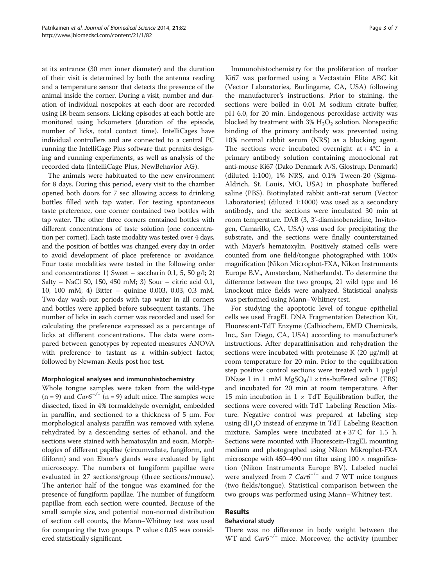at its entrance (30 mm inner diameter) and the duration of their visit is determined by both the antenna reading and a temperature sensor that detects the presence of the animal inside the corner. During a visit, number and duration of individual nosepokes at each door are recorded using IR-beam sensors. Licking episodes at each bottle are monitored using lickometers (duration of the episode, number of licks, total contact time). IntelliCages have individual controllers and are connected to a central PC running the IntelliCage Plus software that permits designing and running experiments, as well as analysis of the recorded data (IntelliCage Plus, NewBehavior AG).

The animals were habituated to the new environment for 8 days. During this period, every visit to the chamber opened both doors for 7 sec allowing access to drinking bottles filled with tap water. For testing spontaneous taste preference, one corner contained two bottles with tap water. The other three corners contained bottles with different concentrations of taste solution (one concentration per corner). Each taste modality was tested over 4 days, and the position of bottles was changed every day in order to avoid development of place preference or avoidance. Four taste modalities were tested in the following order and concentrations: 1) Sweet – saccharin 0.1, 5, 50  $g/l$ ; 2) Salty – NaCl 50, 150, 450 mM; 3) Sour – citric acid 0.1, 10, 100 mM; 4) Bitter – quinine 0.003, 0.03, 0.3 mM. Two-day wash-out periods with tap water in all corners and bottles were applied before subsequent tastants. The number of licks in each corner was recorded and used for calculating the preference expressed as a percentage of licks at different concentrations. The data were compared between genotypes by repeated measures ANOVA with preference to tastant as a within-subject factor, followed by Newman-Keuls post hoc test.

## Morphological analyses and immunohistochemistry

Whole tongue samples were taken from the wild-type (n = 9) and  $Car6^{-/-}$  (n = 9) adult mice. The samples were dissected, fixed in 4% formaldehyde overnight, embedded in paraffin, and sectioned to a thickness of 5 μm. For morphological analysis paraffin was removed with xylene, rehydrated by a descending series of ethanol, and the sections were stained with hematoxylin and eosin. Morphologies of different papillae (circumvallate, fungiform, and filiform) and von Ebner's glands were evaluated by light microscopy. The numbers of fungiform papillae were evaluated in 27 sections/group (three sections/mouse). The anterior half of the tongue was examined for the presence of fungiform papillae. The number of fungiform papillae from each section were counted. Because of the small sample size, and potential non-normal distribution of section cell counts, the Mann–Whitney test was used for comparing the two groups. P value  $< 0.05$  was considered statistically significant.

Immunohistochemistry for the proliferation of marker Ki67 was performed using a Vectastain Elite ABC kit (Vector Laboratories, Burlingame, CA, USA) following the manufacturer's instructions. Prior to staining, the sections were boiled in 0.01 M sodium citrate buffer, pH 6.0, for 20 min. Endogenous peroxidase activity was blocked by treatment with  $3\%$  H<sub>2</sub>O<sub>2</sub> solution. Nonspecific binding of the primary antibody was prevented using 10% normal rabbit serum (NRS) as a blocking agent. The sections were incubated overnight  $at + 4^{\circ}C$  in a primary antibody solution containing monoclonal rat anti-mouse Ki67 (Dako Denmark A/S, Glostrup, Denmark) (diluted 1:100), 1% NRS, and 0.1% Tween-20 (Sigma-Aldrich, St. Louis, MO, USA) in phosphate buffered saline (PBS). Biotinylated rabbit anti-rat serum (Vector Laboratories) (diluted 1:1000) was used as a secondary antibody, and the sections were incubated 30 min at room temperature. DAB (3, 3'-diaminobenzidine, Invitrogen, Camarillo, CA, USA) was used for precipitating the substrate, and the sections were finally counterstained with Mayer's hematoxylin. Positively stained cells were counted from one field/tongue photographed with 100× magnification (Nikon Microphot-FXA, Nikon Instruments Europe B.V., Amsterdam, Netherlands). To determine the difference between the two groups, 21 wild type and 16 knockout mice fields were analyzed. Statistical analysis was performed using Mann–Whitney test.

For studying the apoptotic level of tongue epithelial cells we used FragEL DNA Fragmentation Detection Kit, Fluorescent-TdT Enzyme (Calbiochem, EMD Chemicals, Inc., San Diego, CA, USA) according to manufacturer's instructions. After deparaffinisation and rehydration the sections were incubated with proteinase K (20 μg/ml) at room temperature for 20 min. Prior to the equilibration step positive control sections were treated with  $1 \mu g/\mu l$ DNase I in 1 mM  $MgSO_4/1 \times$  tris-buffered saline (TBS) and incubated for 20 min at room temperature. After 15 min incubation in  $1 \times TdT$  Equilibration buffer, the sections were covered with TdT Labeling Reaction Mixture. Negative control was prepared at labeling step using  $dH_2O$  instead of enzyme in TdT Labeling Reaction mixture. Samples were incubated at + 37°C for 1.5 h. Sections were mounted with Fluorescein-FragEL mounting medium and photographed using Nikon Mikrophot-FXA microscope with 450–490 nm filter using  $100 \times$  magnification (Nikon Instruments Europe BV). Labeled nuclei were analyzed from 7  $Car6^{-/-}$  and 7 WT mice tongues (two fields/tongue). Statistical comparison between the two groups was performed using Mann–Whitney test.

#### Results

## Behavioral study

There was no difference in body weight between the WT and  $Car6^{-/-}$  mice. Moreover, the activity (number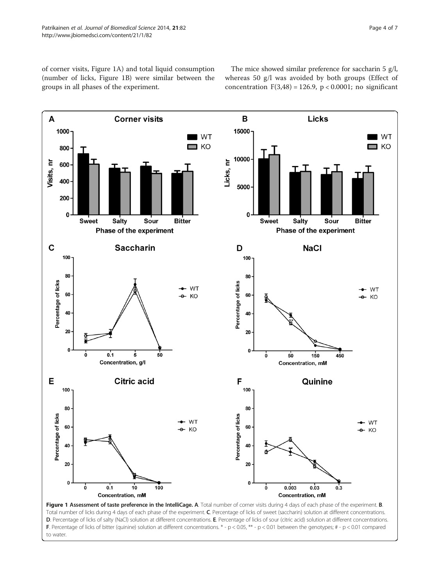<span id="page-3-0"></span>of corner visits, Figure 1A) and total liquid consumption (number of licks, Figure 1B) were similar between the groups in all phases of the experiment.

The mice showed similar preference for saccharin 5 g/l, whereas 50 g/l was avoided by both groups (Effect of concentration  $F(3,48) = 126.9$ ,  $p < 0.0001$ ; no significant



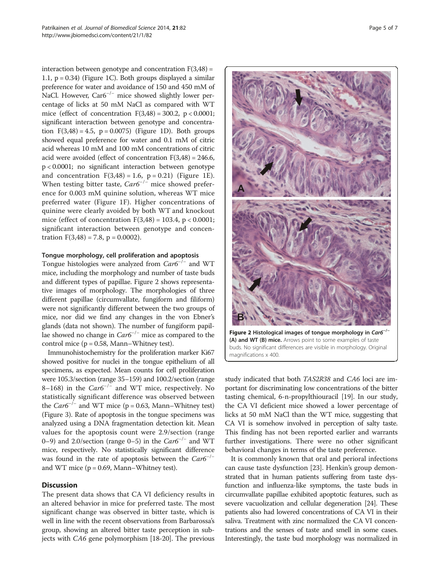interaction between genotype and concentration  $F(3,48) =$ 1.1,  $p = 0.34$ ) (Figure [1C](#page-3-0)). Both groups displayed a similar preference for water and avoidance of 150 and 450 mM of NaCl. However, Car6<sup>-/-</sup> mice showed slightly lower percentage of licks at 50 mM NaCl as compared with WT mice (effect of concentration  $F(3,48) = 300.2$ ,  $p < 0.0001$ ; significant interaction between genotype and concentration  $F(3,48) = 4.5$ ,  $p = 0.0075$ ) (Figure [1](#page-3-0)D). Both groups showed equal preference for water and 0.1 mM of citric acid whereas 10 mM and 100 mM concentrations of citric acid were avoided (effect of concentration  $F(3,48) = 246.6$ , p < 0.0001; no significant interaction between genotype and concentration  $F(3,48) = 1.6$ ,  $p = 0.21$ ) (Figure [1E](#page-3-0)). When testing bitter taste,  $Car6^{-/-}$  mice showed preference for 0.003 mM quinine solution, whereas WT mice preferred water (Figure [1F](#page-3-0)). Higher concentrations of quinine were clearly avoided by both WT and knockout mice (effect of concentration  $F(3,48) = 103.4$ , p < 0.0001; significant interaction between genotype and concentration  $F(3,48) = 7.8$ ,  $p = 0.0002$ ).

## Tongue morphology, cell proliferation and apoptosis

Tongue histologies were analyzed from  $Car6^{-/-}$  and WT mice, including the morphology and number of taste buds and different types of papillae. Figure 2 shows representative images of morphology. The morphologies of three different papillae (circumvallate, fungiform and filiform) were not significantly different between the two groups of mice, nor did we find any changes in the von Ebner's glands (data not shown). The number of fungiform papillae showed no change in  $Car6^{-/-}$  mice as compared to the control mice ( $p = 0.58$ , Mann–Whitney test).

Immunohistochemistry for the proliferation marker Ki67 showed positive for nuclei in the tongue epithelium of all specimens, as expected. Mean counts for cell proliferation were 105.3/section (range 35–159) and 100.2/section (range 8–168) in the  $Car6^{-/-}$  and WT mice, respectively. No statistically significant difference was observed between the  $Car6^{-/-}$  and WT mice (p = 0.63, Mann–Whitney test) (Figure [3](#page-5-0)). Rate of apoptosis in the tongue specimens was analyzed using a DNA fragmentation detection kit. Mean values for the apoptosis count were 2.9/section (range 0–9) and 2.0/section (range 0–5) in the  $Car6^{-/-}$  and WT mice, respectively. No statistically significant difference was found in the rate of apoptosis between the  $Car6^{-/-}$ and WT mice ( $p = 0.69$ , Mann–Whitney test).

## **Discussion**

The present data shows that CA VI deficiency results in an altered behavior in mice for preferred taste. The most significant change was observed in bitter taste, which is well in line with the recent observations from Barbarossa's group, showing an altered bitter taste perception in subjects with CA6 gene polymorphism [\[18-20](#page-6-0)]. The previous



Figure 2 Histological images of tongue morphology in  $\text{Car6}^{-/-}$ (A) and WT (B) mice. Arrows point to some examples of taste buds. No significant differences are visible in morphology. Original magnifications x 400.

study indicated that both TAS2R38 and CA6 loci are important for discriminating low concentrations of the bitter tasting chemical, 6-n-propylthiouracil [\[19](#page-6-0)]. In our study, the CA VI deficient mice showed a lower percentage of licks at 50 mM NaCl than the WT mice, suggesting that CA VI is somehow involved in perception of salty taste. This finding has not been reported earlier and warrants further investigations. There were no other significant behavioral changes in terms of the taste preference.

It is commonly known that oral and perioral infections can cause taste dysfunction [\[23\]](#page-6-0). Henkin's group demonstrated that in human patients suffering from taste dysfunction and influenza-like symptoms, the taste buds in circumvallate papillae exhibited apoptotic features, such as severe vacuolization and cellular degeneration [[24](#page-6-0)]. These patients also had lowered concentrations of CA VI in their saliva. Treatment with zinc normalized the CA VI concentrations and the senses of taste and smell in some cases. Interestingly, the taste bud morphology was normalized in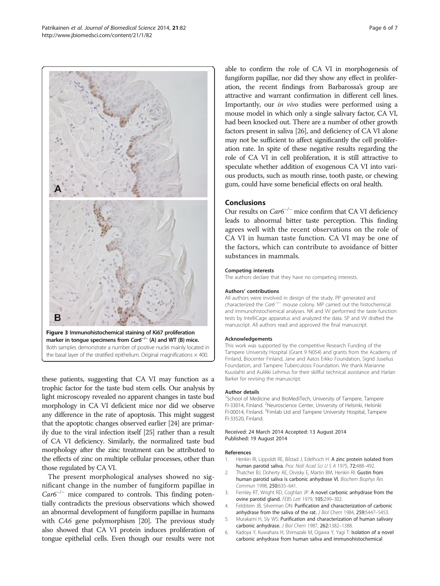these patients, suggesting that CA VI may function as a trophic factor for the taste bud stem cells. Our analysis by light microscopy revealed no apparent changes in taste bud

Both samples demonstrate a number of positive nuclei mainly located in the basal layer of the stratified epithelium. Original magnifications  $\times$  400.

morphology in CA VI deficient mice nor did we observe any difference in the rate of apoptosis. This might suggest that the apoptotic changes observed earlier [[24](#page-6-0)] are primarily due to the viral infection itself [\[25](#page-6-0)] rather than a result of CA VI deficiency. Similarly, the normalized taste bud morphology after the zinc treatment can be attributed to the effects of zinc on multiple cellular processes, other than those regulated by CA VI.

The present morphological analyses showed no significant change in the number of fungiform papillae in  $Car6^{-/-}$  mice compared to controls. This finding potentially contradicts the previous observations which showed an abnormal development of fungiform papillae in humans with *CA6* gene polymorphism [[20](#page-6-0)]. The previous study also showed that CA VI protein induces proliferation of tongue epithelial cells. Even though our results were not

able to confirm the role of CA VI in morphogenesis of fungiform papillae, nor did they show any effect in proliferation, the recent findings from Barbarossa's group are attractive and warrant confirmation in different cell lines. Importantly, our in vivo studies were performed using a mouse model in which only a single salivary factor, CA VI, had been knocked out. There are a number of other growth factors present in saliva [[26](#page-6-0)], and deficiency of CA VI alone may not be sufficient to affect significantly the cell proliferation rate. In spite of these negative results regarding the role of CA VI in cell proliferation, it is still attractive to speculate whether addition of exogenous CA VI into various products, such as mouth rinse, tooth paste, or chewing gum, could have some beneficial effects on oral health.

#### **Conclusions**

Our results on Car6−/<sup>−</sup> mice confirm that CA VI deficiency leads to abnormal bitter taste perception. This finding agrees well with the recent observations on the role of CA VI in human taste function. CA VI may be one of the factors, which can contribute to avoidance of bitter substances in mammals.

#### Competing interests

The authors declare that they have no competing interests.

#### Authors' contributions

All authors were involved in design of the study. PP generated and characterized the Car6−/<sup>−</sup> mouse colony. MP carried out the histochemical and immunohistochemical analyses. NK and W performed the taste function tests by IntelliCage apparatus and analyzed the data. SP and VV drafted the manuscript. All authors read and approved the final manuscript.

#### Acknowledgements

This work was supported by the competitive Research Funding of the Tampere University Hospital (Grant 9 N054) and grants from the Academy of Finland, Biocenter Finland, Jane and Aatos Erkko Foundation, Sigrid Juselius Foundation, and Tampere Tuberculosis Foundation. We thank Marianne Kuuslahti and Aulikki Lehmus for their skillful technical assistance and Harlan Barker for revising the manuscript.

#### Author details

<sup>1</sup>School of Medicine and BioMediTech, University of Tampere, Tampere FI-33014, Finland. <sup>2</sup>Neuroscience Center, University of Helsinki, Helsinki FI-00014, Finland. <sup>3</sup> Fimlab Ltd and Tampere University Hospital, Tampere FI-33520, Finland.

#### Received: 24 March 2014 Accepted: 13 August 2014 Published: 19 August 2014

#### References

- 1. Henkin RI, Lippoldt RE, Bilstad J, Edelhoch H: A zinc protein isolated from human parotid saliva. Proc Natl Acad Sci U S A 1975, 72:488–492.
- 2. Thatcher BJ, Doherty AE, Orvisky E, Martin BM, Henkin RI: Gustin from human parotid saliva is carbonic anhydrase VI. Biochem Biophys Res Commun 1998, 250:635–641.
- 3. Fernley RT, Wright RD, Coghlan JP: A novel carbonic anhydrase from the ovine parotid gland. FEBS Lett 1979, 105:299–302.
- 4. Feldstein JB, Silverman DN: Purification and characterization of carbonic anhydrase from the saliva of the rat. J Biol Chem 1984, 259:5447-5453.
- 5. Murakami H, Sly WS: Purification and characterization of human salivary carbonic anhydrase. J Biol Chem 1987, 262:1382–1388.
- 6. Kadoya Y, Kuwahara H, Shimazaki M, Ogawa Y, Yagi T: Isolation of a novel carbonic anhydrase from human saliva and immunohistochemical

<span id="page-5-0"></span>